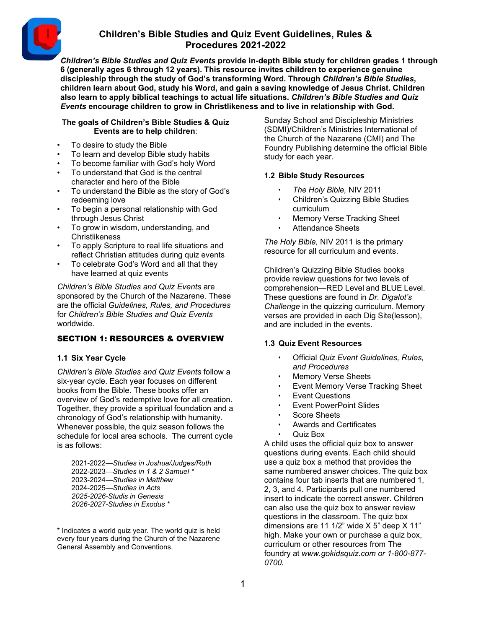

*Children's Bible Studies and Quiz Events* **provide in-depth Bible study for children grades 1 through 6 (generally ages 6 through 12 years). This resource invites children to experience genuine discipleship through the study of God's transforming Word. Through** *Children's Bible Studies***, children learn about God, study his Word, and gain a saving knowledge of Jesus Christ. Children also learn to apply biblical teachings to actual life situations.** *Children's Bible Studies and Quiz Events* **encourage children to grow in Christlikeness and to live in relationship with God.**

### **The goals of Children's Bible Studies & Quiz Events are to help children**:

- To desire to study the Bible
- To learn and develop Bible study habits
- To become familiar with God's holy Word
- To understand that God is the central character and hero of the Bible
- To understand the Bible as the story of God's redeeming love
- To begin a personal relationship with God through Jesus Christ
- To grow in wisdom, understanding, and Christlikeness
- To apply Scripture to real life situations and reflect Christian attitudes during quiz events
- To celebrate God's Word and all that they have learned at quiz events

*Children's Bible Studies and Quiz Events* are sponsored by the Church of the Nazarene. These are the official *Guidelines, Rules, and Procedures* for *Children's Bible Studies and Quiz Events* worldwide.

# SECTION 1: RESOURCES & OVERVIEW

# **1.1 Six Year Cycle**

*Children's Bible Studies and Quiz Events* follow a six-year cycle. Each year focuses on different books from the Bible. These books offer an overview of God's redemptive love for all creation. Together, they provide a spiritual foundation and a chronology of God's relationship with humanity. Whenever possible, the quiz season follows the schedule for local area schools. The current cycle is as follows:

2021-2022—*Studies in Joshua/Judges/Ruth* 2022-2023—*Studies in 1 & 2 Samuel \** 2023-2024—*Studies in Matthew* 2024-2025—*Studies in Acts 2025-2026-Studis in Genesis 2026-2027-Studies in Exodus \**

\* Indicates a world quiz year. The world quiz is held every four years during the Church of the Nazarene General Assembly and Conventions.

Sunday School and Discipleship Ministries (SDMI)/Children's Ministries International of the Church of the Nazarene (CMI) and The Foundry Publishing determine the official Bible study for each year.

# **1.2 Bible Study Resources**

- *The Holy Bible,* NIV 2011
- Children's Quizzing Bible Studies curriculum
- Memory Verse Tracking Sheet
- Attendance Sheets

*The Holy Bible,* NIV 2011 is the primary resource for all curriculum and events.

Children's Quizzing Bible Studies books provide review questions for two levels of comprehension—RED Level and BLUE Level. These questions are found in *Dr. Digalot's Challenge* in the quizzing curriculum. Memory verses are provided in each Dig Site(lesson), and are included in the events.

### **1.3 Quiz Event Resources**

- Official *Quiz Event Guidelines, Rules, and Procedures*
- Memory Verse Sheets
- Event Memory Verse Tracking Sheet
- Event Questions
- Event PowerPoint Slides
- Score Sheets
- Awards and Certificates
- Quiz Box

A child uses the official quiz box to answer questions during events. Each child should use a quiz box a method that provides the same numbered answer choices. The quiz box contains four tab inserts that are numbered 1, 2, 3, and 4. Participants pull one numbered insert to indicate the correct answer. Children can also use the quiz box to answer review questions in the classroom. The quiz box dimensions are 11 1/2" wide X 5" deep X 11" high. Make your own or purchase a quiz box, curriculum or other resources from The foundry at *[www.gokidsquiz.com o](http://www.gokidsquiz.com/)r 1-800-877- 0700*.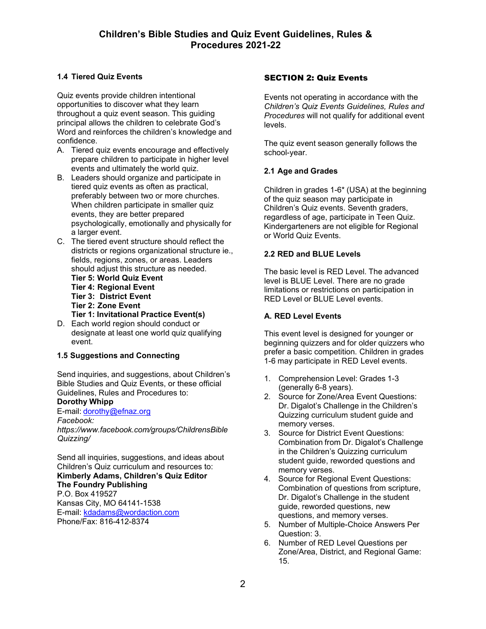# **1.4 Tiered Quiz Events**

Quiz events provide children intentional opportunities to discover what they learn throughout a quiz event season. This guiding principal allows the children to celebrate God's Word and reinforces the children's knowledge and confidence.

- A. Tiered quiz events encourage and effectively prepare children to participate in higher level events and ultimately the world quiz.
- B. Leaders should organize and participate in tiered quiz events as often as practical, preferably between two or more churches. When children participate in smaller quiz events, they are better prepared psychologically, emotionally and physically for a larger event.
- C. The tiered event structure should reflect the districts or regions organizational structure ie., fields, regions, zones, or areas. Leaders should adjust this structure as needed.
	- **Tier 5: World Quiz Event Tier 4: Regional Event Tier 3: District Event Tier 2: Zone Event**
	- **Tier 1: Invitational Practice Event(s)**
- D. Each world region should conduct or designate at least one world quiz qualifying event.

### **1.5 Suggestions and Connecting**

Send inquiries, and suggestions, about Children's Bible Studies and Quiz Events, or these official Guidelines, Rules and Procedures to:

### **Dorothy Whipp**

E-mail: [dorothy@efnaz.org](mailto:dorothy@efnaz.org)

*Facebook:*

*http[s://www.face](http://www.facebook.com/groups/ChildrensBible)b[ook.com/groups/ChildrensBible](http://www.facebook.com/groups/ChildrensBible) Quizzing/*

Send all inquiries, suggestions, and ideas about Children's Quiz curriculum and resources to: **Kimberly Adams, Children's Quiz Editor The Foundry Publishing** P.O. Box 419527 Kansas City, MO 64141-1538 E-mail: [kdadams@wordaction.com](mailto:kdadams@wordaction.com) Phone/Fax: 816-412-8374

## SECTION 2: Quiz Events

Events not operating in accordance with the *Children's Quiz Events Guidelines, Rules and Procedures* will not qualify for additional event levels.

The quiz event season generally follows the school-year.

# **2.1 Age and Grades**

Children in grades 1-6\* (USA) at the beginning of the quiz season may participate in Children's Quiz events. Seventh graders, regardless of age, participate in Teen Quiz. Kindergarteners are not eligible for Regional or World Quiz Events.

### **2.2 RED and BLUE Levels**

The basic level is RED Level. The advanced level is BLUE Level. There are no grade limitations or restrictions on participation in RED Level or BLUE Level events.

## **A. RED Level Events**

This event level is designed for younger or beginning quizzers and for older quizzers who prefer a basic competition. Children in grades 1-6 may participate in RED Level events.

- 1. Comprehension Level: Grades 1-3 (generally 6-8 years).
- 2. Source for Zone/Area Event Questions: Dr. Digalot's Challenge in the Children's Quizzing curriculum student guide and memory verses.
- 3. Source for District Event Questions: Combination from Dr. Digalot's Challenge in the Children's Quizzing curriculum student guide, reworded questions and memory verses.
- 4. Source for Regional Event Questions: Combination of questions from scripture, Dr. Digalot's Challenge in the student guide, reworded questions, new questions, and memory verses.
- 5. Number of Multiple-Choice Answers Per Question: 3.
- 6. Number of RED Level Questions per Zone/Area, District, and Regional Game: 15.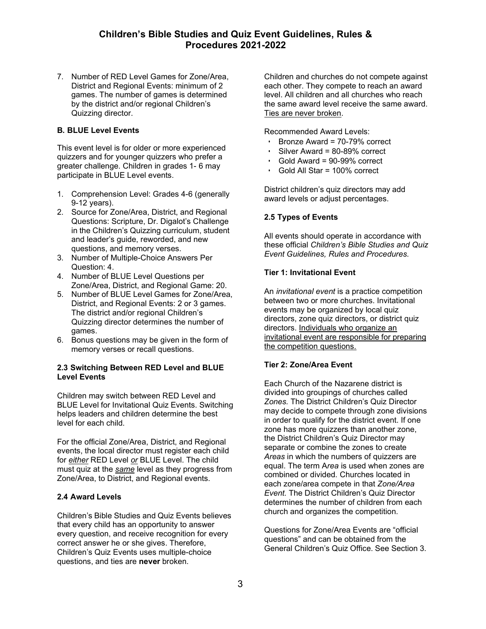7. Number of RED Level Games for Zone/Area, District and Regional Events: minimum of 2 games. The number of games is determined by the district and/or regional Children's Quizzing director.

## **B. BLUE Level Events**

This event level is for older or more experienced quizzers and for younger quizzers who prefer a greater challenge. Children in grades 1- 6 may participate in BLUE Level events.

- 1. Comprehension Level: Grades 4-6 (generally 9-12 years).
- 2. Source for Zone/Area, District, and Regional Questions: Scripture, Dr. Digalot's Challenge in the Children's Quizzing curriculum, student and leader's guide, reworded, and new questions, and memory verses.
- 3. Number of Multiple-Choice Answers Per Question: 4.
- 4. Number of BLUE Level Questions per Zone/Area, District, and Regional Game: 20.
- 5. Number of BLUE Level Games for Zone/Area, District, and Regional Events: 2 or 3 games. The district and/or regional Children's Quizzing director determines the number of games.
- 6. Bonus questions may be given in the form of memory verses or recall questions.

### **2.3 Switching Between RED Level and BLUE Level Events**

Children may switch between RED Level and BLUE Level for Invitational Quiz Events. Switching helps leaders and children determine the best level for each child.

For the official Zone/Area, District, and Regional events, the local director must register each child for *either* RED Level *or* BLUE Level. The child must quiz at the *same* level as they progress from Zone/Area, to District, and Regional events.

### **2.4 Award Levels**

Children's Bible Studies and Quiz Events believes that every child has an opportunity to answer every question, and receive recognition for every correct answer he or she gives. Therefore, Children's Quiz Events uses multiple-choice questions, and ties are **never** broken.

Children and churches do not compete against each other. They compete to reach an award level. All children and all churches who reach the same award level receive the same award. Ties are never broken.

Recommended Award Levels:

- Bronze Award = 70-79% correct
- Silver Award = 80-89% correct
- Gold Award = 90-99% correct
- Gold All Star = 100% correct

District children's quiz directors may add award levels or adjust percentages.

# **2.5 Types of Events**

All events should operate in accordance with these official *Children's Bible Studies and Quiz Event Guidelines, Rules and Procedures.*

### **Tier 1: Invitational Event**

An *invitational event* is a practice competition between two or more churches. Invitational events may be organized by local quiz directors, zone quiz directors, or district quiz directors. Individuals who organize an invitational event are responsible for preparing the competition questions.

### **Tier 2: Zone/Area Event**

Each Church of the Nazarene district is divided into groupings of churches called *Zones.* The District Children's Quiz Director may decide to compete through zone divisions in order to qualify for the district event. If one zone has more quizzers than another zone, the District Children's Quiz Director may separate or combine the zones to create *Areas* in which the numbers of quizzers are equal. The term A*rea* is used when zones are combined or divided. Churches located in each zone/area compete in that *Zone/Area Event.* The District Children's Quiz Director determines the number of children from each church and organizes the competition.

Questions for Zone/Area Events are "official questions" and can be obtained from the General Children's Quiz Office. See Section 3.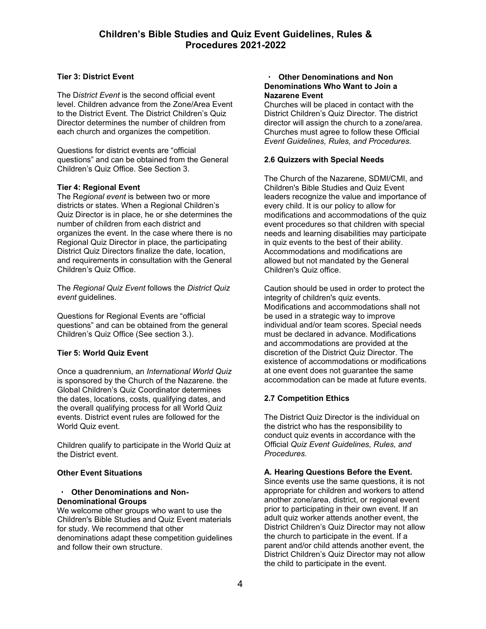# **Tier 3: District Event**

The D*istrict Event* is the second official event level. Children advance from the Zone/Area Event to the District Event. The District Children's Quiz Director determines the number of children from each church and organizes the competition.

Questions for district events are "official questions" and can be obtained from the General Children's Quiz Office. See Section 3.

### **Tier 4: Regional Event**

The R*egional event* is between two or more districts or states. When a Regional Children's Quiz Director is in place, he or she determines the number of children from each district and organizes the event. In the case where there is no Regional Quiz Director in place, the participating District Quiz Directors finalize the date, location, and requirements in consultation with the General Children's Quiz Office.

The *Regional Quiz Event* follows the *District Quiz event* guidelines.

Questions for Regional Events are "official questions" and can be obtained from the general Children's Quiz Office (See section 3.).

### **Tier 5: World Quiz Event**

Once a quadrennium, an *International World Quiz* is sponsored by the Church of the Nazarene. the Global Children's Quiz Coordinator determines the dates, locations, costs, qualifying dates, and the overall qualifying process for all World Quiz events. District event rules are followed for the World Quiz event.

Children qualify to participate in the World Quiz at the District event.

### **Other Event Situations**

### • **Other Denominations and Non-Denominational Groups**

We welcome other groups who want to use the Children's Bible Studies and Quiz Event materials for study. We recommend that other denominations adapt these competition guidelines and follow their own structure.

#### • **Other Denominations and Non Denominations Who Want to Join a Nazarene Event**

Churches will be placed in contact with the District Children's Quiz Director. The district director will assign the church to a zone/area. Churches must agree to follow these Official *Event Guidelines, Rules, and Procedures.*

### **2.6 Quizzers with Special Needs**

The Church of the Nazarene, SDMI/CMI, and Children's Bible Studies and Quiz Event leaders recognize the value and importance of every child. It is our policy to allow for modifications and accommodations of the quiz event procedures so that children with special needs and learning disabilities may participate in quiz events to the best of their ability. Accommodations and modifications are allowed but not mandated by the General Children's Quiz office.

Caution should be used in order to protect the integrity of children's quiz events. Modifications and accommodations shall not be used in a strategic way to improve individual and/or team scores. Special needs must be declared in advance. Modifications and accommodations are provided at the discretion of the District Quiz Director. The existence of accommodations or modifications at one event does not guarantee the same accommodation can be made at future events.

# **2.7 Competition Ethics**

The District Quiz Director is the individual on the district who has the responsibility to conduct quiz events in accordance with the Official *Quiz Event Guidelines, Rules, and Procedures.*

### **A. Hearing Questions Before the Event.**

Since events use the same questions, it is not appropriate for children and workers to attend another zone/area, district, or regional event prior to participating in their own event. If an adult quiz worker attends another event, the District Children's Quiz Director may not allow the church to participate in the event. If a parent and/or child attends another event, the District Children's Quiz Director may not allow the child to participate in the event.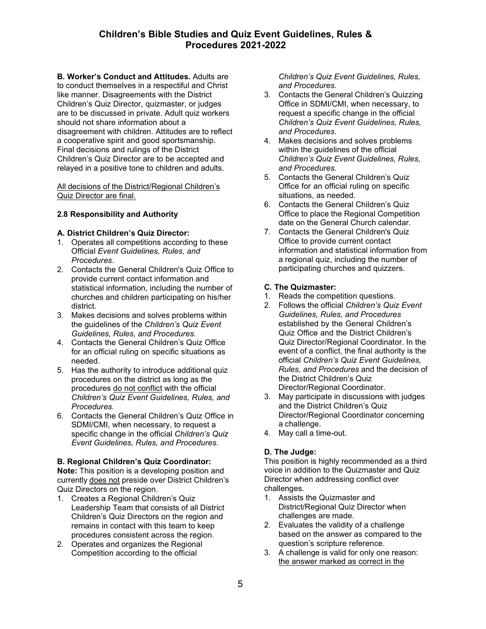**B. Worker's Conduct and Attitudes.** Adults are to conduct themselves in a respectiful and Christ like manner. Disagreements with the District Children's Quiz Director, quizmaster, or judges are to be discussed in private. Adult quiz workers should not share information about a disagreement with children. Attitudes are to reflect a cooperative spirit and good sportsmanship. Final decisions and rulings of the District Children's Quiz Director are to be accepted and relayed in a positive tone to children and adults.

All decisions of the District/Regional Children's Quiz Director are final.

### **2.8 Responsibility and Authority**

### **A. District Children's Quiz Director:**

- 1. Operates all competitions according to these Official *Event Guidelines, Rules, and Procedures*.
- 2. Contacts the General Children's Quiz Office to provide current contact information and statistical information, including the number of churches and children participating on his/her district.
- 3. Makes decisions and solves problems within the guidelines of the *Children's Quiz Event Guidelines, Rules, and Procedures.*
- 4. Contacts the General Children's Quiz Office for an official ruling on specific situations as needed.
- 5. Has the authority to introduce additional quiz procedures on the district as long as the procedures do not conflict with the official *Children's Quiz Event Guidelines, Rules, and Procedures.*
- 6. Contacts the General Children's Quiz Office in SDMI/CMI, when necessary, to request a specific change in the official *Children's Quiz Event Guidelines, Rules, and Procedures*.

### **B. Regional Children's Quiz Coordinator:**

**Note:** This position is a developing position and currently does not preside over District Children's Quiz Directors on the region.

- 1. Creates a Regional Children's Quiz Leadership Team that consists of all District Children's Quiz Directors on the region and remains in contact with this team to keep procedures consistent across the region.
- 2. Operates and organizes the Regional Competition according to the official

*Children's Quiz Event Guidelines, Rules, and Procedures*.

- 3. Contacts the General Children's Quizzing Office in SDMI/CMI, when necessary, to request a specific change in the official *Children's Quiz Event Guidelines, Rules, and Procedures*.
- 4. Makes decisions and solves problems within the guidelines of the official *Children's Quiz Event Guidelines, Rules, and Procedures.*
- 5. Contacts the General Children's Quiz Office for an official ruling on specific situations, as needed.
- 6. Contacts the General Children's Quiz Office to place the Regional Competition date on the General Church calendar.
- 7. Contacts the General Children's Quiz Office to provide current contact information and statistical information from a regional quiz, including the number of participating churches and quizzers.

### **C. The Quizmaster:**

- 1. Reads the competition questions.
- 2. Follows the official *Children's Quiz Event Guidelines, Rules, and Procedures* established by the General Children's Quiz Office and the District Children's Quiz Director/Regional Coordinator. In the event of a conflict, the final authority is the official *Children's Quiz Event Guidelines, Rules, and Procedures* and the decision of the District Children's Quiz Director/Regional Coordinator.
- 3. May participate in discussions with judges and the District Children's Quiz Director/Regional Coordinator concerning a challenge.
- 4. May call a time-out.

# **D. The Judge:**

This position is highly recommended as a third voice in addition to the Quizmaster and Quiz Director when addressing conflict over challenges.

- 1. Assists the Quizmaster and District/Regional Quiz Director when challenges are made.
- 2. Evaluates the validity of a challenge based on the answer as compared to the question's scripture reference.
- 3. A challenge is valid for only one reason: the answer marked as correct in the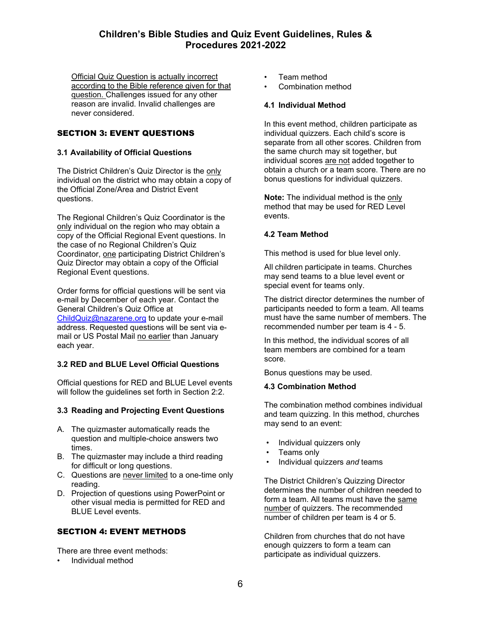Official Quiz Question is actually incorrect according to the Bible reference given for that question. Challenges issued for any other reason are invalid. Invalid challenges are never considered.

# SECTION 3: EVENT QUESTIONS

### **3.1 Availability of Official Questions**

The District Children's Quiz Director is the only individual on the district who may obtain a copy of the Official Zone/Area and District Event questions.

The Regional Children's Quiz Coordinator is the only individual on the region who may obtain a copy of the Official Regional Event questions. In the case of no Regional Children's Quiz Coordinator, one participating District Children's Quiz Director may obtain a copy of the Official Regional Event questions.

Order forms for official questions will be sent via e-mail by December of each year. Contact the General Children's Quiz Office at [ChildQuiz@nazarene.org](mailto:ChildQuiz@nazarene.org) to update your e-mail address. Requested questions will be sent via email or US Postal Mail no earlier than January each year.

### **3.2 RED and BLUE Level Official Questions**

Official questions for RED and BLUE Level events will follow the guidelines set forth in Section 2:2.

### **3.3 Reading and Projecting Event Questions**

- A. The quizmaster automatically reads the question and multiple-choice answers two times.
- B. The quizmaster may include a third reading for difficult or long questions.
- C. Questions are never limited to a one-time only reading.
- D. Projection of questions using PowerPoint or other visual media is permitted for RED and BLUE Level events.

### SECTION 4: EVENT METHODS

There are three event methods:

• Individual method

- Team method
- Combination method

### **4.1 Individual Method**

In this event method, children participate as individual quizzers. Each child's score is separate from all other scores. Children from the same church may sit together, but individual scores are not added together to obtain a church or a team score. There are no bonus questions for individual quizzers.

**Note:** The individual method is the only method that may be used for RED Level events.

### **4.2 Team Method**

This method is used for blue level only.

All children participate in teams. Churches may send teams to a blue level event or special event for teams only.

The district director determines the number of participants needed to form a team. All teams must have the same number of members. The recommended number per team is 4 - 5.

In this method, the individual scores of all team members are combined for a team score.

Bonus questions may be used.

### **4.3 Combination Method**

The combination method combines individual and team quizzing. In this method, churches may send to an event:

- Individual quizzers only
- Teams only
- Individual quizzers *and* teams

The District Children's Quizzing Director determines the number of children needed to form a team. All teams must have the same number of quizzers. The recommended number of children per team is 4 or 5.

Children from churches that do not have enough quizzers to form a team can participate as individual quizzers.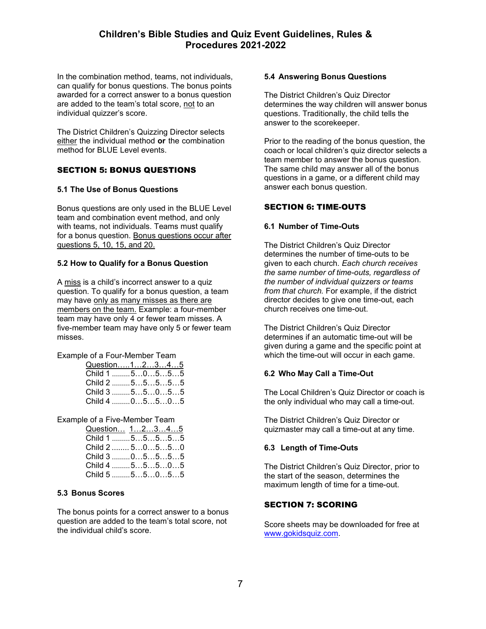In the combination method, teams, not individuals, can qualify for bonus questions. The bonus points awarded for a correct answer to a bonus question are added to the team's total score, not to an individual quizzer's score.

The District Children's Quizzing Director selects either the individual method **or** the combination method for BLUE Level events.

# SECTION 5: BONUS QUESTIONS

### **5.1 The Use of Bonus Questions**

Bonus questions are only used in the BLUE Level team and combination event method, and only with teams, not individuals. Teams must qualify for a bonus question. Bonus questions occur after questions 5, 10, 15, and 20.

### **5.2 How to Qualify for a Bonus Question**

A miss is a child's incorrect answer to a quiz question. To qualify for a bonus question, a team may have only as many misses as there are members on the team. Example: a four-member team may have only 4 or fewer team misses. A five-member team may have only 5 or fewer team misses.

### Example of a Four-Member Team

| Question12345 |  |  |  |
|---------------|--|--|--|
| Child 1 50555 |  |  |  |
| Child 2 5555  |  |  |  |
| Child 3 55055 |  |  |  |
| Child 4 05505 |  |  |  |

### Example of a Five-Member Team

| Question 12345     |  |  |  |
|--------------------|--|--|--|
| Child 1  5 5 5 5 5 |  |  |  |
| Child 2  50550     |  |  |  |
| Child 3 05555      |  |  |  |
| Child 4 55505      |  |  |  |
| Child $5$ $55055$  |  |  |  |

### **5.3 Bonus Scores**

The bonus points for a correct answer to a bonus question are added to the team's total score, not the individual child's score.

### **5.4 Answering Bonus Questions**

The District Children's Quiz Director determines the way children will answer bonus questions. Traditionally, the child tells the answer to the scorekeeper.

Prior to the reading of the bonus question, the coach or local children's quiz director selects a team member to answer the bonus question. The same child may answer all of the bonus questions in a game, or a different child may answer each bonus question.

# SECTION 6: TIME-OUTS

### **6.1 Number of Time-Outs**

The District Children's Quiz Director determines the number of time-outs to be given to each church. *Each church receives the same number of time-outs, regardless of the number of individual quizzers or teams from that church.* For example, if the district director decides to give one time-out, each church receives one time-out.

The District Children's Quiz Director determines if an automatic time-out will be given during a game and the specific point at which the time-out will occur in each game.

# **6.2 Who May Call a Time-Out**

The Local Children's Quiz Director or coach is the only individual who may call a time-out.

The District Children's Quiz Director or quizmaster may call a time-out at any time.

### **6.3 Length of Time-Outs**

The District Children's Quiz Director, prior to the start of the season, determines the maximum length of time for a time-out.

### SECTION 7: SCORING

Score sheets may be downloaded for free at [www.gokidsquiz.com.](http://www.gokidsquiz.com/)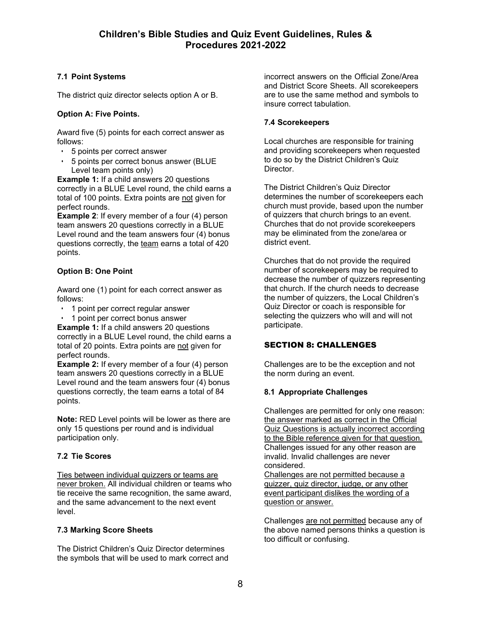# **7.1 Point Systems**

The district quiz director selects option A or B.

# **Option A: Five Points.**

Award five (5) points for each correct answer as follows:

- 5 points per correct answer
- 5 points per correct bonus answer (BLUE Level team points only)

**Example 1:** If a child answers 20 questions correctly in a BLUE Level round, the child earns a total of 100 points. Extra points are not given for perfect rounds.

**Example 2:** If every member of a four (4) person team answers 20 questions correctly in a BLUE Level round and the team answers four (4) bonus questions correctly, the team earns a total of 420 points.

# **Option B: One Point**

Award one (1) point for each correct answer as follows:

- 1 point per correct regular answer
- 1 point per correct bonus answer

**Example 1:** If a child answers 20 questions correctly in a BLUE Level round, the child earns a total of 20 points. Extra points are not given for perfect rounds.

**Example 2:** If every member of a four (4) person team answers 20 questions correctly in a BLUE Level round and the team answers four (4) bonus questions correctly, the team earns a total of 84 points.

**Note:** RED Level points will be lower as there are only 15 questions per round and is individual participation only.

# **7.2 Tie Scores**

Ties between individual quizzers or teams are never broken. All individual children or teams who tie receive the same recognition, the same award, and the same advancement to the next event level.

# **7.3 Marking Score Sheets**

The District Children's Quiz Director determines the symbols that will be used to mark correct and incorrect answers on the Official Zone/Area and District Score Sheets. All scorekeepers are to use the same method and symbols to insure correct tabulation.

# **7.4 Scorekeepers**

Local churches are responsible for training and providing scorekeepers when requested to do so by the District Children's Quiz Director.

The District Children's Quiz Director determines the number of scorekeepers each church must provide, based upon the number of quizzers that church brings to an event. Churches that do not provide scorekeepers may be eliminated from the zone/area or district event.

Churches that do not provide the required number of scorekeepers may be required to decrease the number of quizzers representing that church. If the church needs to decrease the number of quizzers, the Local Children's Quiz Director or coach is responsible for selecting the quizzers who will and will not participate.

# SECTION 8: CHALLENGES

Challenges are to be the exception and not the norm during an event.

# **8.1 Appropriate Challenges**

Challenges are permitted for only one reason: the answer marked as correct in the Official Quiz Questions is actually incorrect according to the Bible reference given for that question. Challenges issued for any other reason are invalid. Invalid challenges are never considered.

Challenges are not permitted because a quizzer, quiz director, judge, or any other event participant dislikes the wording of a question or answer.

Challenges are not permitted because any of the above named persons thinks a question is too difficult or confusing.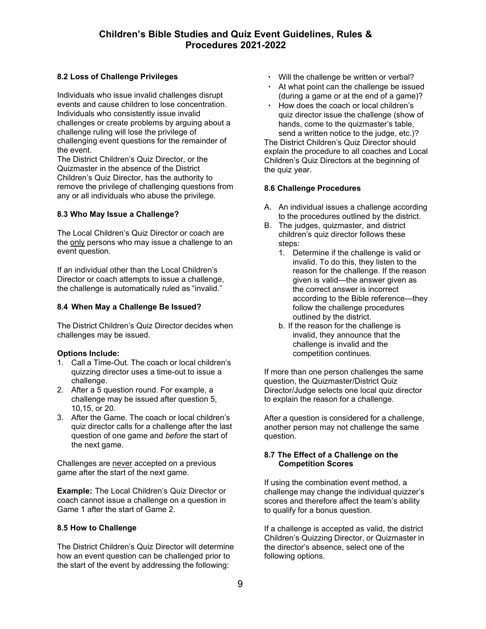# **8.2 Loss of Challenge Privileges**

Individuals who issue invalid challenges disrupt events and cause children to lose concentration. Individuals who consistently issue invalid challenges or create problems by arguing about a challenge ruling will lose the privilege of challenging event questions for the remainder of the event.

The District Children's Quiz Director, or the Quizmaster in the absence of the District Children's Quiz Director, has the authority to remove the privilege of challenging questions from any or all individuals who abuse the privilege.

# **8.3 Who May Issue a Challenge?**

The Local Children's Quiz Director or coach are the only persons who may issue a challenge to an event question.

If an individual other than the Local Children's Director or coach attempts to issue a challenge, the challenge is automatically ruled as "invalid."

# **8.4 When May a Challenge Be Issued?**

The District Children's Quiz Director decides when challenges may be issued.

### **Options Include:**

- 1. Call a Time-Out. The coach or local children's quizzing director uses a time-out to issue a challenge.
- 2. After a 5 question round. For example, a challenge may be issued after question 5, 10,15, or 20.
- 3. After the Game. The coach or local children's quiz director calls for a challenge after the last question of one game and *before* the start of the next game.

Challenges are never accepted on a previous game after the start of the next game.

**Example:** The Local Children's Quiz Director or coach cannot issue a challenge on a question in Game 1 after the start of Game 2.

### **8.5 How to Challenge**

The District Children's Quiz Director will determine how an event question can be challenged prior to the start of the event by addressing the following:

- Will the challenge be written or verbal?
- At what point can the challenge be issued (during a game or at the end of a game)?
- How does the coach or local children's quiz director issue the challenge (show of hands, come to the quizmaster's table, send a written notice to the judge, etc.)?

The District Children's Quiz Director should explain the procedure to all coaches and Local Children's Quiz Directors at the beginning of the quiz year.

# **8.6 Challenge Procedures**

- A. An individual issues a challenge according to the procedures outlined by the district.
- B. The judges, quizmaster, and district children's quiz director follows these steps:
	- 1. Determine if the challenge is valid or invalid. To do this, they listen to the reason for the challenge. If the reason given is valid—the answer given as the correct answer is incorrect according to the Bible reference—they follow the challenge procedures outlined by the district.
	- b. If the reason for the challenge is invalid, they announce that the challenge is invalid and the competition continues.

If more than one person challenges the same question, the Quizmaster/District Quiz Director/Judge selects one local quiz director to explain the reason for a challenge.

After a question is considered for a challenge, another person may not challenge the same question.

### **8.7 The Effect of a Challenge on the Competition Scores**

If using the combination event method, a challenge may change the individual quizzer's scores and therefore affect the team's ability to qualify for a bonus question.

If a challenge is accepted as valid, the district Children's Quizzing Director, or Quizmaster in the director's absence, select one of the following options.